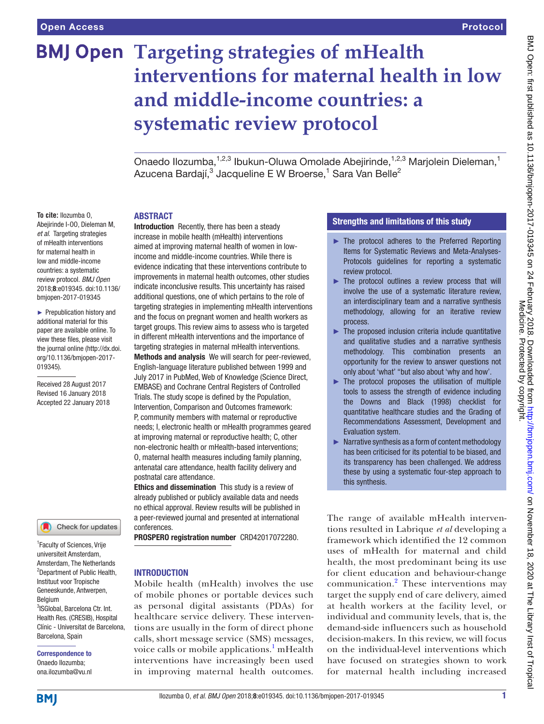# **BMJ Open Targeting strategies of mHealth interventions for maternal health in low and middle-income countries: a systematic review protocol**

Onaedo Ilozumba,<sup>1,2,3</sup> Ibukun-Oluwa Omolade Abejirinde,<sup>1,2,3</sup> Marjolein Dieleman,<sup>1</sup> Azucena Bardají, $^3$  Jacqueline E W Broerse, $^1$  Sara Van Belle $^2$ 

#### **ABSTRACT**

**To cite:** Ilozumba O, Abejirinde I-OO, Dieleman M, *et al*. Targeting strategies of mHealth interventions for maternal health in low and middle-income countries: a systematic review protocol. *BMJ Open* 2018;8:e019345. doi:10.1136/ bmjopen-2017-019345

► Prepublication history and additional material for this paper are available online. To view these files, please visit the journal online [\(http://dx.doi.](http://dx.doi.org/10.1136/bmjopen-2017-019345) [org/10.1136/bmjopen-2017-](http://dx.doi.org/10.1136/bmjopen-2017-019345) [019345\)](http://dx.doi.org/10.1136/bmjopen-2017-019345).

Received 28 August 2017 Revised 16 January 2018 Accepted 22 January 2018



<sup>1</sup> Faculty of Sciences, Vrije universiteit Amsterdam, Amsterdam, The Netherlands 2 Department of Public Health, Instituut voor Tropische Geneeskunde, Antwerpen, Belgium <sup>3</sup>ISGlobal, Barcelona Ctr. Int. Health Res. (CRESIB), Hospital Clínic - Universitat de Barcelona, Barcelona, Spain

Correspondence to Onaedo Ilozumba; ona.ilozumba@vu.nl aimed at improving maternal health of women in lowincome and middle-income countries. While there is evidence indicating that these interventions contribute to improvements in maternal health outcomes, other studies indicate inconclusive results. This uncertainty has raised additional questions, one of which pertains to the role of targeting strategies in implementing mHealth interventions and the focus on pregnant women and health workers as target groups. This review aims to assess who is targeted in different mHealth interventions and the importance of targeting strategies in maternal mHealth interventions. Methods and analysis We will search for peer-reviewed, English-language literature published between 1999 and July 2017 in PubMed, Web of Knowledge (Science Direct, EMBASE) and Cochrane Central Registers of Controlled Trials. The study scope is defined by the Population, Intervention, Comparison and Outcomes framework: P, community members with maternal or reproductive needs; I, electronic health or mHealth programmes geared at improving maternal or reproductive health; C, other non-electronic health or mHealth-based interventions; O, maternal health measures including family planning, antenatal care attendance, health facility delivery and postnatal care attendance.

Introduction Recently, there has been a steady increase in mobile health (mHealth) interventions

Ethics and dissemination This study is a review of already published or publicly available data and needs no ethical approval. Review results will be published in a peer-reviewed journal and presented at international conferences.

PROSPERO registration number [CRD42017072280.](http://www.crd.york.ac.uk/PROSPERO/display_record.php?ID=CRD42017072280)

# **INTRODUCTION**

Mobile health (mHealth) involves the use of mobile phones or portable devices such as personal digital assistants (PDAs) for healthcare service delivery. These interventions are usually in the form of direct phone calls, short message service (SMS) messages, voice calls or mobile applications.<sup>[1](#page-6-0)</sup> mHealth interventions have increasingly been used in improving maternal health outcomes.

# Strengths and limitations of this study

- ► The protocol adheres to the Preferred Reporting Items for Systematic Reviews and Meta-Analyses-Protocols guidelines for reporting a systematic review protocol.
- ► The protocol outlines a review process that will involve the use of a systematic literature review, an interdisciplinary team and a narrative synthesis methodology, allowing for an iterative review process.
- $\blacktriangleright$  The proposed inclusion criteria include quantitative and qualitative studies and a narrative synthesis methodology. This combination presents an opportunity for the review to answer questions not only about 'what' "but also about 'why and how'.
- ► The protocol proposes the utilisation of multiple tools to assess the strength of evidence including the Downs and Black (1998) checklist for quantitative healthcare studies and the Grading of Recommendations Assessment, Development and Evaluation system.
- ► Narrative synthesis as a form of content methodology has been criticised for its potential to be biased, and its transparency has been challenged. We address these by using a systematic four-step approach to this synthesis.

The range of available mHealth interventions resulted in Labrique *et al* developing a framework which identified the 12 common uses of mHealth for maternal and child health, the most predominant being its use for client education and behaviour-change communication.[2](#page-6-1) These interventions may target the supply end of care delivery, aimed at health workers at the facility level, or individual and community levels, that is, the demand-side influencers such as household decision-makers. In this review, we will focus on the individual-level interventions which have focused on strategies shown to work for maternal health including increased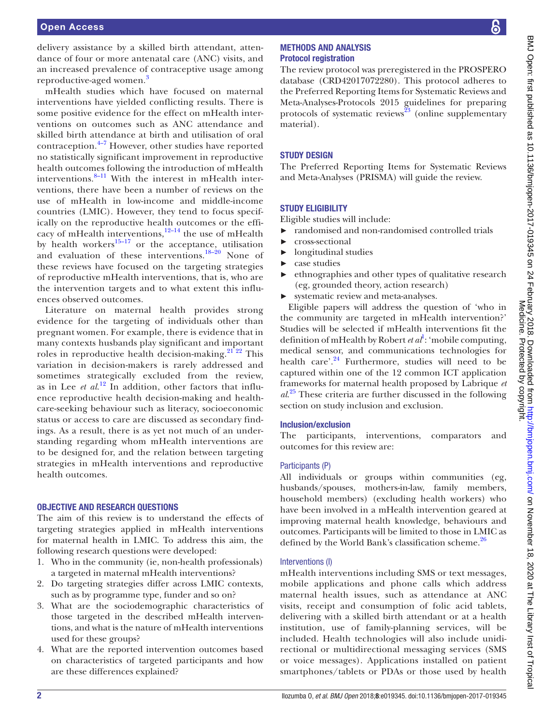delivery assistance by a skilled birth attendant, attendance of four or more antenatal care (ANC) visits, and an increased prevalence of contraceptive usage among reproductive-aged women.<sup>[3](#page-6-2)</sup>

mHealth studies which have focused on maternal interventions have yielded conflicting results. There is some positive evidence for the effect on mHealth interventions on outcomes such as ANC attendance and skilled birth attendance at birth and utilisation of oral contraception. $4\frac{1}{7}$  However, other studies have reported no statistically significant improvement in reproductive health outcomes following the introduction of mHealth interventions. $8-11$  With the interest in mHealth interventions, there have been a number of reviews on the use of mHealth in low-income and middle-income countries (LMIC). However, they tend to focus specifically on the reproductive health outcomes or the efficacy of mHealth interventions, $12-14$  the use of mHealth by health workers $15-17$  or the acceptance, utilisation and evaluation of these interventions.<sup>18–20</sup> None of these reviews have focused on the targeting strategies of reproductive mHealth interventions, that is, who are the intervention targets and to what extent this influences observed outcomes.

Literature on maternal health provides strong evidence for the targeting of individuals other than pregnant women. For example, there is evidence that in many contexts husbands play significant and important roles in reproductive health decision-making.<sup>2122</sup> This variation in decision-makers is rarely addressed and sometimes strategically excluded from the review, as in Lee *et al*. [12](#page-6-5) In addition, other factors that influence reproductive health decision-making and healthcare-seeking behaviour such as literacy, socioeconomic status or access to care are discussed as secondary findings. As a result, there is as yet not much of an understanding regarding whom mHealth interventions are to be designed for, and the relation between targeting strategies in mHealth interventions and reproductive health outcomes.

#### OBJECTIVE AND RESEARCH QUESTIONS

The aim of this review is to understand the effects of targeting strategies applied in mHealth interventions for maternal health in LMIC. To address this aim, the following research questions were developed:

- 1. Who in the community (ie, non-health professionals) a targeted in maternal mHealth interventions?
- 2. Do targeting strategies differ across LMIC contexts, such as by programme type, funder and so on?
- 3. What are the sociodemographic characteristics of those targeted in the described mHealth interventions, and what is the nature of mHealth interventions used for these groups?
- 4. What are the reported intervention outcomes based on characteristics of targeted participants and how are these differences explained?

#### Methods and analysis Protocol registration

The review protocol was preregistered in the PROSPERO database (CRD42017072280). This protocol adheres to the Preferred Reporting Items for Systematic Reviews and Meta-Analyses-Protocols 2015 guidelines for preparing protocols of systematic reviews<sup>23</sup> (online supplementary [material\)](https://dx.doi.org/10.1136/bmjopen-2017-019345).

#### **STUDY DESIGN**

The Preferred Reporting Items for Systematic Reviews and Meta-Analyses (PRISMA) will guide the review.

#### STUDY ELIGIBILITY

Eligible studies will include:

- ► randomised and non-randomised controlled trials
- ► cross-sectional
- ► longitudinal studies
- ► case studies
- ► ethnographies and other types of qualitative research (eg, grounded theory, action research)
- ► systematic review and meta-analyses.

Eligible papers will address the question of 'who in the community are targeted in mHealth intervention?' Studies will be selected if mHealth interventions fit the definition of mHealth by Robert *et al*<sup>[1](#page-6-0)</sup>: 'mobile computing, medical sensor, and communications technologies for health care'.<sup>24</sup> Furthermore, studies will need to be captured within one of the 12 common ICT application frameworks for maternal health proposed by Labrique *et al*. [25](#page-6-11) These criteria are further discussed in the following section on study inclusion and exclusion.

#### Inclusion/exclusion

The participants, interventions, comparators and outcomes for this review are:

#### Participants (P)

All individuals or groups within communities (eg, husbands/spouses, mothers-in-law, family members, household members) (excluding health workers) who have been involved in a mHealth intervention geared at improving maternal health knowledge, behaviours and outcomes. Participants will be limited to those in LMIC as defined by the World Bank's classification scheme.<sup>[26](#page-6-12)</sup>

#### Interventions (I)

mHealth interventions including SMS or text messages, mobile applications and phone calls which address maternal health issues, such as attendance at ANC visits, receipt and consumption of folic acid tablets, delivering with a skilled birth attendant or at a health institution, use of family-planning services, will be included. Health technologies will also include unidirectional or multidirectional messaging services (SMS or voice messages). Applications installed on patient smartphones/tablets or PDAs or those used by health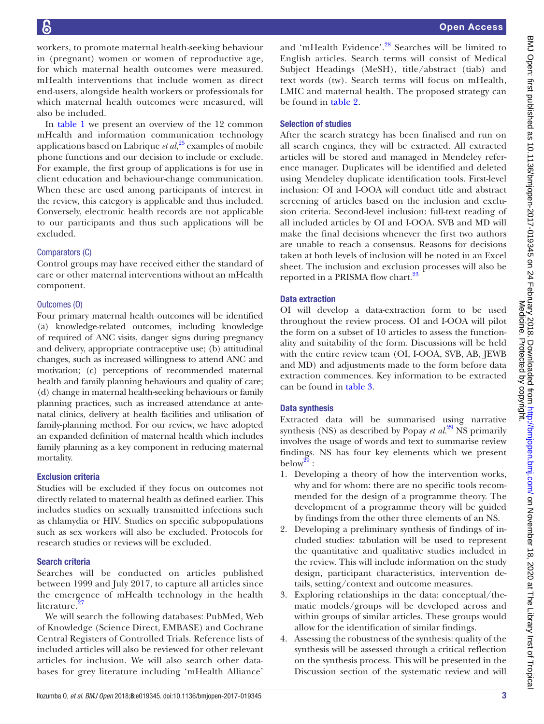workers, to promote maternal health-seeking behaviour in (pregnant) women or women of reproductive age, for which maternal health outcomes were measured. mHealth interventions that include women as direct end-users, alongside health workers or professionals for which maternal health outcomes were measured, will also be included.

In [table](#page-3-0) 1 we present an overview of the 12 common mHealth and information communication technology applications based on Labrique *et al*, [25](#page-6-11) examples of mobile phone functions and our decision to include or exclude. For example, the first group of applications is for use in client education and behaviour-change communication. When these are used among participants of interest in the review, this category is applicable and thus included. Conversely, electronic health records are not applicable to our participants and thus such applications will be excluded.

## Comparators (C)

Control groups may have received either the standard of care or other maternal interventions without an mHealth component.

## Outcomes (O)

Four primary maternal health outcomes will be identified (a) knowledge-related outcomes, including knowledge of required of ANC visits, danger signs during pregnancy and delivery, appropriate contraceptive use; (b) attitudinal changes, such as increased willingness to attend ANC and motivation; (c) perceptions of recommended maternal health and family planning behaviours and quality of care; (d) change in maternal health-seeking behaviours or family planning practices, such as increased attendance at antenatal clinics, delivery at health facilities and utilisation of family-planning method. For our review, we have adopted an expanded definition of maternal health which includes family planning as a key component in reducing maternal mortality.

## Exclusion criteria

Studies will be excluded if they focus on outcomes not directly related to maternal health as defined earlier. This includes studies on sexually transmitted infections such as chlamydia or HIV. Studies on specific subpopulations such as sex workers will also be excluded. Protocols for research studies or reviews will be excluded.

## Search criteria

Searches will be conducted on articles published between 1999 and July 2017, to capture all articles since the emergence of mHealth technology in the health literature.<sup>[27](#page-6-13)</sup>

We will search the following databases: PubMed, Web of Knowledge (Science Direct, EMBASE) and Cochrane Central Registers of Controlled Trials. Reference lists of included articles will also be reviewed for other relevant articles for inclusion. We will also search other databases for grey literature including 'mHealth Alliance'

and 'mHealth Evidence'.<sup>[28](#page-6-14)</sup> Searches will be limited to English articles. Search terms will consist of Medical Subject Headings (MeSH), title/abstract (tiab) and text words (tw). Search terms will focus on mHealth, LMIC and maternal health. The proposed strategy can be found in [table](#page-4-0) 2.

## Selection of studies

After the search strategy has been finalised and run on all search engines, they will be extracted. All extracted articles will be stored and managed in Mendeley reference manager. Duplicates will be identified and deleted using Mendeley duplicate identification tools. First-level inclusion: OI and I-OOA will conduct title and abstract screening of articles based on the inclusion and exclusion criteria. Second-level inclusion: full-text reading of all included articles by OI and I-OOA. SVB and MD will make the final decisions whenever the first two authors are unable to reach a consensus. Reasons for decisions taken at both levels of inclusion will be noted in an Excel sheet. The inclusion and exclusion processes will also be reported in a PRISMA flow chart.<sup>[23](#page-6-9)</sup>

## Data extraction

OI will develop a data-extraction form to be used throughout the review process. OI and I-OOA will pilot the form on a subset of 10 articles to assess the functionality and suitability of the form. Discussions will be held with the entire review team (OI, I-OOA, SVB, AB, JEWB and MD) and adjustments made to the form before data extraction commences. Key information to be extracted can be found in [table](#page-5-0) 3.

# Data synthesis

Extracted data will be summarised using narrative synthesis (NS) as described by Popay *et al.*<sup>[29](#page-6-15)</sup> NS primarily involves the usage of words and text to summarise review findings. NS has four key elements which we present below<sup>29</sup>:

- 1. Developing a theory of how the intervention works, why and for whom: there are no specific tools recommended for the design of a programme theory. The development of a programme theory will be guided by findings from the other three elements of an NS.
- 2. Developing a preliminary synthesis of findings of included studies: tabulation will be used to represent the quantitative and qualitative studies included in the review. This will include information on the study design, participant characteristics, intervention details, setting/context and outcome measures.
- 3. Exploring relationships in the data: conceptual/thematic models/groups will be developed across and within groups of similar articles. These groups would allow for the identification of similar findings.
- 4. Assessing the robustness of the synthesis: quality of the synthesis will be assessed through a critical reflection on the synthesis process. This will be presented in the Discussion section of the systematic review and will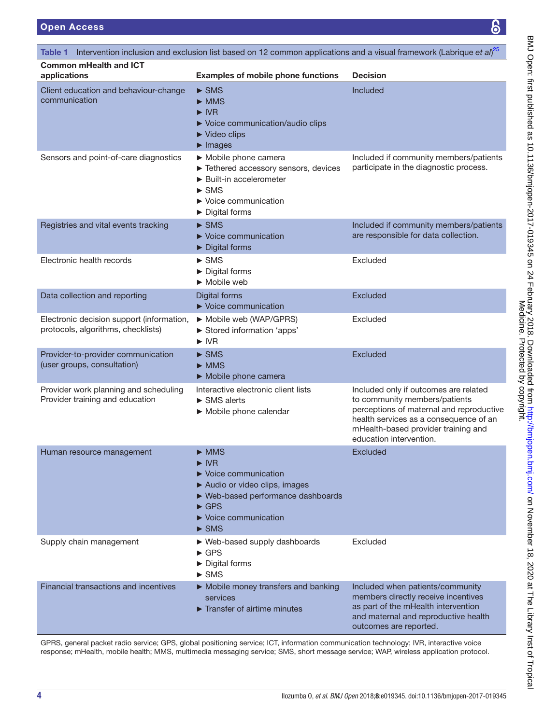<span id="page-3-0"></span>

| Table 1                                                                         | Intervention inclusion and exclusion list based on 12 common applications and a visual framework (Labrique et al) <sup>25</sup>                                                                                                                                   |                                                                                                                                                                                                                                |
|---------------------------------------------------------------------------------|-------------------------------------------------------------------------------------------------------------------------------------------------------------------------------------------------------------------------------------------------------------------|--------------------------------------------------------------------------------------------------------------------------------------------------------------------------------------------------------------------------------|
| <b>Common mHealth and ICT</b><br>applications                                   | <b>Examples of mobile phone functions</b>                                                                                                                                                                                                                         | <b>Decision</b>                                                                                                                                                                                                                |
| Client education and behaviour-change<br>communication                          | $\triangleright$ SMS<br>$\blacktriangleright$ MMS<br>$\blacktriangleright$ IVR<br>▶ Voice communication/audio clips<br>$\blacktriangleright$ Video clips<br>$\blacktriangleright$ Images                                                                          | Included                                                                                                                                                                                                                       |
| Sensors and point-of-care diagnostics                                           | Mobile phone camera<br>Tethered accessory sensors, devices<br>▶ Built-in accelerometer<br>$\triangleright$ SMS<br>$\blacktriangleright$ Voice communication<br>Digital forms                                                                                      | Included if community members/patients<br>participate in the diagnostic process.                                                                                                                                               |
| Registries and vital events tracking                                            | $\triangleright$ SMS<br>▶ Voice communication<br>$\blacktriangleright$ Digital forms                                                                                                                                                                              | Included if community members/patients<br>are responsible for data collection.                                                                                                                                                 |
| Electronic health records                                                       | $\triangleright$ SMS<br>$\blacktriangleright$ Digital forms<br>Mobile web                                                                                                                                                                                         | Excluded                                                                                                                                                                                                                       |
| Data collection and reporting                                                   | <b>Digital forms</b><br>$\triangleright$ Voice communication                                                                                                                                                                                                      | <b>Excluded</b>                                                                                                                                                                                                                |
| Electronic decision support (information,<br>protocols, algorithms, checklists) | Mobile web (WAP/GPRS)<br>Stored information 'apps'<br>$\blacktriangleright$ IVR                                                                                                                                                                                   | Excluded                                                                                                                                                                                                                       |
| Provider-to-provider communication<br>(user groups, consultation)               | $\blacktriangleright$ SMS<br>$\blacktriangleright$ MMS<br>Mobile phone camera                                                                                                                                                                                     | <b>Excluded</b>                                                                                                                                                                                                                |
| Provider work planning and scheduling<br>Provider training and education        | Interactive electronic client lists<br>$\triangleright$ SMS alerts<br>Mobile phone calendar                                                                                                                                                                       | Included only if outcomes are related<br>to community members/patients<br>perceptions of maternal and reproductive<br>health services as a consequence of an<br>mHealth-based provider training and<br>education intervention. |
| Human resource management                                                       | $\blacktriangleright$ MMS<br>$\blacktriangleright$ IVR<br>$\blacktriangleright$ Voice communication<br>Audio or video clips, images<br>▶ Web-based performance dashboards<br>$\triangleright$ GPS<br>$\triangleright$ Voice communication<br>$\triangleright$ SMS | <b>Excluded</b>                                                                                                                                                                                                                |
| Supply chain management                                                         | ► Web-based supply dashboards<br>$\blacktriangleright$ GPS<br>Digital forms<br>$\triangleright$ SMS                                                                                                                                                               | Excluded                                                                                                                                                                                                                       |
| Financial transactions and incentives                                           | Mobile money transfers and banking<br>services<br>$\blacktriangleright$ Transfer of airtime minutes                                                                                                                                                               | Included when patients/community<br>members directly receive incentives<br>as part of the mHealth intervention<br>and maternal and reproductive health<br>outcomes are reported.                                               |

GPRS, general packet radio service; GPS, global positioning service; ICT, information communication technology; IVR, interactive voice response; mHealth, mobile health; MMS, multimedia messaging service; SMS, short message service; WAP, wireless application protocol.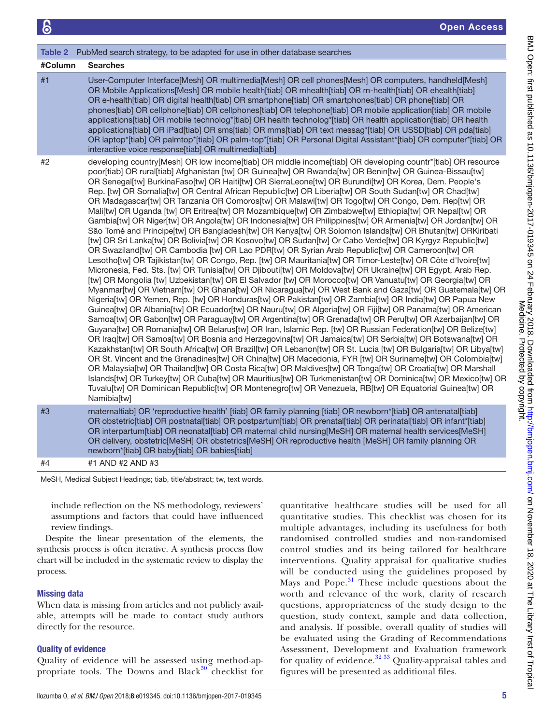<span id="page-4-0"></span>

|         | Table 2 PubMed search strategy, to be adapted for use in other database searches                                                                                                                                                                                                                                                                                                                                                                                                                                                                                                                                                                                                                                                                                                                                                                                                                                                                                                                                                                                                                                                                                                                                                                                                                                                                                                                                                                                                                                                                                                                                                                                                                                                                                                                                                                                                                                                                                                                                                                                                                                                                                                                                                                                                                                                                                                                                                                                                                                                                                                                                                                                                                          |
|---------|-----------------------------------------------------------------------------------------------------------------------------------------------------------------------------------------------------------------------------------------------------------------------------------------------------------------------------------------------------------------------------------------------------------------------------------------------------------------------------------------------------------------------------------------------------------------------------------------------------------------------------------------------------------------------------------------------------------------------------------------------------------------------------------------------------------------------------------------------------------------------------------------------------------------------------------------------------------------------------------------------------------------------------------------------------------------------------------------------------------------------------------------------------------------------------------------------------------------------------------------------------------------------------------------------------------------------------------------------------------------------------------------------------------------------------------------------------------------------------------------------------------------------------------------------------------------------------------------------------------------------------------------------------------------------------------------------------------------------------------------------------------------------------------------------------------------------------------------------------------------------------------------------------------------------------------------------------------------------------------------------------------------------------------------------------------------------------------------------------------------------------------------------------------------------------------------------------------------------------------------------------------------------------------------------------------------------------------------------------------------------------------------------------------------------------------------------------------------------------------------------------------------------------------------------------------------------------------------------------------------------------------------------------------------------------------------------------------|
| #Column | <b>Searches</b>                                                                                                                                                                                                                                                                                                                                                                                                                                                                                                                                                                                                                                                                                                                                                                                                                                                                                                                                                                                                                                                                                                                                                                                                                                                                                                                                                                                                                                                                                                                                                                                                                                                                                                                                                                                                                                                                                                                                                                                                                                                                                                                                                                                                                                                                                                                                                                                                                                                                                                                                                                                                                                                                                           |
| #1      | User-Computer Interface[Mesh] OR multimedia[Mesh] OR cell phones[Mesh] OR computers, handheld[Mesh]<br>OR Mobile Applications[Mesh] OR mobile health[tiab] OR mhealth[tiab] OR m-health[tiab] OR ehealth[tiab]<br>OR e-health[tiab] OR digital health[tiab] OR smartphone[tiab] OR smartphones[tiab] OR phone[tiab] OR<br>phones[tiab] OR cellphone[tiab] OR cellphones[tiab] OR telephone[tiab] OR mobile application[tiab] OR mobile<br>applications[tiab] OR mobile technolog*[tiab] OR health technolog*[tiab] OR health application[tiab] OR health<br>applications[tiab] OR iPad[tiab] OR sms[tiab] OR mms[tiab] OR text messag*[tiab] OR USSD[tiab] OR pda[tiab]<br>OR laptop*[tiab] OR palmtop*[tiab] OR palm-top*[tiab] OR Personal Digital Assistant*[tiab] OR computer*[tiab] OR<br>interactive voice response[tiab] OR multimedia[tiab]                                                                                                                                                                                                                                                                                                                                                                                                                                                                                                                                                                                                                                                                                                                                                                                                                                                                                                                                                                                                                                                                                                                                                                                                                                                                                                                                                                                                                                                                                                                                                                                                                                                                                                                                                                                                                                                       |
| #2      | developing country[Mesh] OR low income[tiab] OR middle income[tiab] OR developing countr*[tiab] OR resource<br>poor[tiab] OR rural[tiab] Afghanistan [tw] OR Guinea[tw] OR Rwanda[tw] OR Benin[tw] OR Guinea-Bissau[tw]<br>OR Senegal[tw] BurkinaFaso[tw] OR Haiti[tw] OR SierraLeone[tw] OR Burundi[tw] OR Korea, Dem. People's<br>Rep. [tw] OR Somalia[tw] OR Central African Republic[tw] OR Liberia[tw] OR South Sudan[tw] OR Chad[tw]<br>OR Madagascar[tw] OR Tanzania OR Comoros[tw] OR Malawi[tw] OR Togo[tw] OR Congo, Dem. Rep[tw] OR<br>Maliftw] OR Uganda [tw] OR Eritrea[tw] OR Mozambique[tw] OR Zimbabwe[tw] Ethiopia[tw] OR Nepal[tw] OR<br>Gambia[tw] OR Niger[tw] OR Angola[tw] OR Indonesia[tw] OR Philippines[tw] OR Armenia[tw] OR Jordan[tw] OR<br>São Tomé and Principe[tw] OR Bangladesh[tw] OR Kenya[tw] OR Solomon Islands[tw] OR Bhutan[tw] ORKiribati<br>[tw] OR Sri Lanka[tw] OR Bolivia[tw] OR Kosovo[tw] OR Sudan[tw] Or Cabo Verde[tw] OR Kyrgyz Republic[tw]<br>OR Swaziland [tw] OR Cambodia [tw] OR Lao PDR [tw] OR Syrian Arab Republic [tw] OR Cameroon [tw] OR<br>Lesotho[tw] OR Tajikistan[tw] OR Congo, Rep. [tw] OR Mauritania[tw] OR Timor-Leste[tw] OR Côte d'Ivoire[tw]<br>Micronesia, Fed. Sts. [tw] OR Tunisia[tw] OR Djibouti[tw] OR Moldova[tw] OR Ukraine[tw] OR Egypt, Arab Rep.<br>[tw] OR Mongolia [tw] Uzbekistan[tw] OR El Salvador [tw] OR Morocco[tw] OR Vanuatu[tw] OR Georgia[tw] OR<br>Myanmar[tw] OR Vietnam[tw] OR Ghana[tw] OR Nicaragua[tw] OR West Bank and Gaza[tw] OR Guatemala[tw] OR<br>Nigeria[tw] OR Yemen, Rep. [tw] OR Honduras[tw] OR Pakistan[tw] OR Zambia[tw] OR India[tw] OR Papua New<br>Guinea[tw] OR Albania[tw] OR Ecuador[tw] OR Nauru[tw] OR Algeria[tw] OR Fiji[tw] OR Panama[tw] OR American<br>Samoa[tw] OR Gabon[tw] OR Paraguay[tw] OR Argentina[tw] OR Grenada[tw] OR Peru[tw] OR Azerbaijan[tw] OR<br>Guyana[tw] OR Romania[tw] OR Belarus[tw] OR Iran, Islamic Rep. [tw] OR Russian Federation[tw] OR Belize[tw]<br>OR Iraq[tw] OR Samoa[tw] OR Bosnia and Herzegovina[tw] OR Jamaica[tw] OR Serbia[tw] OR Botswana[tw] OR<br>Kazakhstan[tw] OR South Africa[tw] OR Brazil[tw] OR Lebanon[tw] OR St. Lucia [tw] OR Bulgaria[tw] OR Libya[tw]<br>OR St. Vincent and the Grenadines[tw] OR China[tw] OR Macedonia, FYR [tw] OR Suriname[tw] OR Colombia[tw]<br>OR Malaysia[tw] OR Thailand[tw] OR Costa Rica[tw] OR Maldives[tw] OR Tonga[tw] OR Croatia[tw] OR Marshall<br>Islands[tw] OR Turkey[tw] OR Cuba[tw] OR Mauritius[tw] OR Turkmenistan[tw] OR Dominica[tw] OR Mexico[tw] OR<br>Tuvalu[tw] OR Dominican Republic[tw] OR Montenegro[tw] OR Venezuela, RB[tw] OR Equatorial Guinea[tw] OR<br>Namibia[tw] |
| #3      | maternaltiab] OR 'reproductive health' [tiab] OR family planning [tiab] OR newborn*[tiab] OR antenatal[tiab]<br>OR obstetric[tiab] OR postnatal[tiab] OR postpartum[tiab] OR prenatal[tiab] OR perinatal[tiab] OR infant*[tiab]<br>OR interpartum[tiab] OR neonatal[tiab] OR maternal child nursing[MeSH] OR maternal health services[MeSH]<br>OR delivery, obstetric[MeSH] OR obstetrics[MeSH] OR reproductive health [MeSH] OR family planning OR<br>newborn*[tiab] OR baby[tiab] OR babies[tiab]                                                                                                                                                                                                                                                                                                                                                                                                                                                                                                                                                                                                                                                                                                                                                                                                                                                                                                                                                                                                                                                                                                                                                                                                                                                                                                                                                                                                                                                                                                                                                                                                                                                                                                                                                                                                                                                                                                                                                                                                                                                                                                                                                                                                       |
| #4      | #1 AND #2 AND #3                                                                                                                                                                                                                                                                                                                                                                                                                                                                                                                                                                                                                                                                                                                                                                                                                                                                                                                                                                                                                                                                                                                                                                                                                                                                                                                                                                                                                                                                                                                                                                                                                                                                                                                                                                                                                                                                                                                                                                                                                                                                                                                                                                                                                                                                                                                                                                                                                                                                                                                                                                                                                                                                                          |

MeSH, Medical Subject Headings; tiab, title/abstract; tw, text words.

include reflection on the NS methodology, reviewers' assumptions and factors that could have influenced review findings.

Despite the linear presentation of the elements, the synthesis process is often iterative. A synthesis process flow chart will be included in the systematic review to display the process.

## Missing data

When data is missing from articles and not publicly available, attempts will be made to contact study authors directly for the resource.

## Quality of evidence

Quality of evidence will be assessed using method-appropriate tools. The Downs and Black $30$  checklist for

quantitative healthcare studies will be used for all quantitative studies. This checklist was chosen for its multiple advantages, including its usefulness for both randomised controlled studies and non-randomised control studies and its being tailored for healthcare interventions. Quality appraisal for qualitative studies will be conducted using the guidelines proposed by Mays and Pope.<sup>31</sup> These include questions about the worth and relevance of the work, clarity of research questions, appropriateness of the study design to the question, study context, sample and data collection, and analysis. If possible, overall quality of studies will be evaluated using the Grading of Recommendations Assessment, Development and Evaluation framework for quality of evidence. $32\frac{33}{2}$  Quality-appraisal tables and figures will be presented as additional files.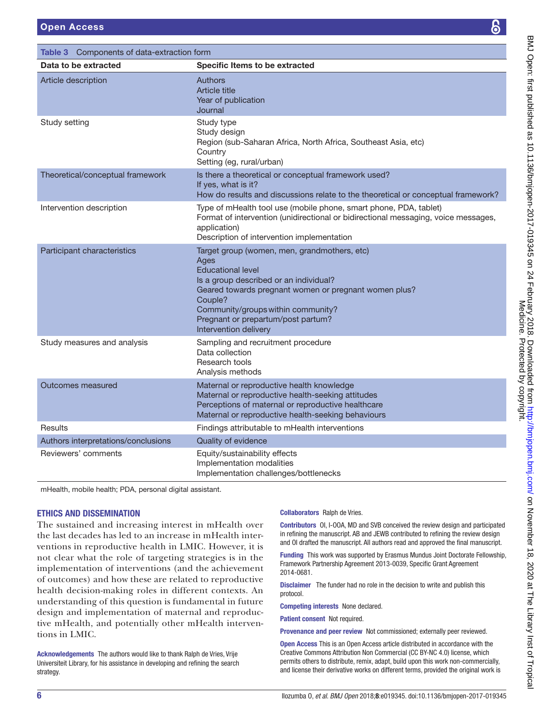<span id="page-5-0"></span>

| Data to be extracted                | Specific Items to be extracted                                                                                                                                                                                                                                                                      |
|-------------------------------------|-----------------------------------------------------------------------------------------------------------------------------------------------------------------------------------------------------------------------------------------------------------------------------------------------------|
| Article description                 | <b>Authors</b><br>Article title<br>Year of publication<br>Journal                                                                                                                                                                                                                                   |
| Study setting                       | Study type<br>Study design<br>Region (sub-Saharan Africa, North Africa, Southeast Asia, etc)<br>Country<br>Setting (eg, rural/urban)                                                                                                                                                                |
| Theoretical/conceptual framework    | Is there a theoretical or conceptual framework used?<br>If yes, what is it?<br>How do results and discussions relate to the theoretical or conceptual framework?                                                                                                                                    |
| Intervention description            | Type of mHealth tool use (mobile phone, smart phone, PDA, tablet)<br>Format of intervention (unidirectional or bidirectional messaging, voice messages,<br>application)<br>Description of intervention implementation                                                                               |
| Participant characteristics         | Target group (women, men, grandmothers, etc)<br>Ages<br><b>Educational level</b><br>Is a group described or an individual?<br>Geared towards pregnant women or pregnant women plus?<br>Couple?<br>Community/groups within community?<br>Pregnant or prepartum/post partum?<br>Intervention delivery |
| Study measures and analysis         | Sampling and recruitment procedure<br>Data collection<br>Research tools<br>Analysis methods                                                                                                                                                                                                         |
| <b>Outcomes measured</b>            | Maternal or reproductive health knowledge<br>Maternal or reproductive health-seeking attitudes<br>Perceptions of maternal or reproductive healthcare<br>Maternal or reproductive health-seeking behaviours                                                                                          |
| Results                             | Findings attributable to mHealth interventions                                                                                                                                                                                                                                                      |
| Authors interpretations/conclusions | Quality of evidence                                                                                                                                                                                                                                                                                 |
| Reviewers' comments                 | Equity/sustainability effects<br>Implementation modalities<br>Implementation challenges/bottlenecks                                                                                                                                                                                                 |

# Ethics and dissemination

The sustained and increasing interest in mHealth over the last decades has led to an increase in mHealth interventions in reproductive health in LMIC. However, it is not clear what the role of targeting strategies is in the implementation of interventions (and the achievement of outcomes) and how these are related to reproductive health decision-making roles in different contexts. An understanding of this question is fundamental in future design and implementation of maternal and reproductive mHealth, and potentially other mHealth interventions in LMIC.

Acknowledgements The authors would like to thank Ralph de Vries, Vrije Universiteit Library, for his assistance in developing and refining the search strategy.

# Collaborators Ralph de Vries.

Contributors OI, I-OOA, MD and SVB conceived the review design and participated in refining the manuscript. AB and JEWB contributed to refining the review design and OI drafted the manuscript. All authors read and approved the final manuscript.

Funding This work was supported by Erasmus Mundus Joint Doctorate Fellowship, Framework Partnership Agreement 2013-0039, Specific Grant Agreement 2014-0681.

Disclaimer The funder had no role in the decision to write and publish this protocol.

Competing interests None declared.

Patient consent Not required.

Provenance and peer review Not commissioned; externally peer reviewed.

Open Access This is an Open Access article distributed in accordance with the Creative Commons Attribution Non Commercial (CC BY-NC 4.0) license, which permits others to distribute, remix, adapt, build upon this work non-commercially, and license their derivative works on different terms, provided the original work is